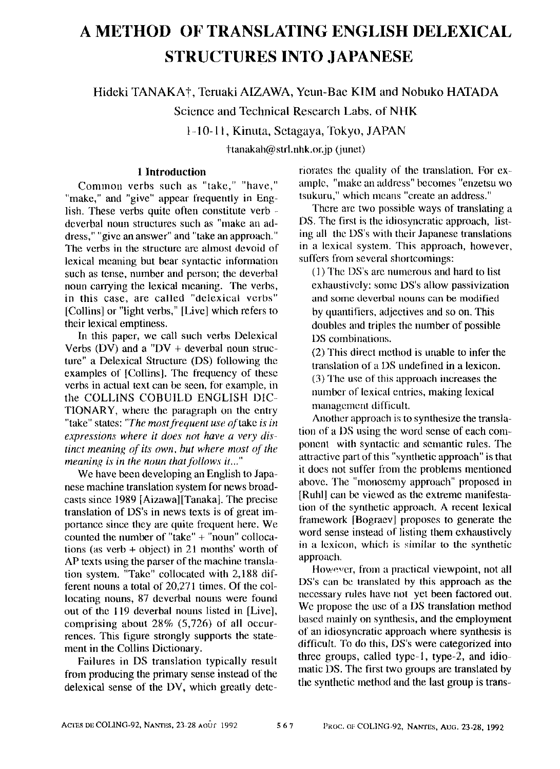# **A METHOD OF TRANSLATING ENGLISH DELEXICAL STRUCTURES INTO JAPANESE**

Hideki TANAKA†, Teruaki AIZAWA, Yeun-Bae KIM and Nobuko HATADA

Science and Technical Research Labs. of NHK

ld0-11, Kinuta, Setagaya, Tokyo, JAPAN

ttanakah@ strl.nhk.or.jp (junet)

## **1 Introduction**

Common verbs such as "take," "have," "make," and "give" appear frequently in English. These verbs quite often constitute verb deverbal noun structures such as "make an address," "give an answer" and "take an approach." The verbs in the structure arc ahnost devoid of lexical meaning but bear syntactic information such as tense, number and person; the deverbal noun carrying the lexical meaning. The verbs, in this case, are called "dclexical verbs" [Collins] or "light verbs," [Live] which refers to their lexical emptiness.

In this paper, we call such verbs Delexical Verbs (DV) and a "DV + deverbal noun structure" a Delexical Structure (DS) Iollowing the examples of [Collins]. The frequency of these verbs in actual text can be seen, for example, in the COLLINS COBUILD ENGLISH DIC-TIONARY, where the paragraph on the entry "take" states: *"The most frequent use* of take *is in expressions where it does not have a very dis*tinct meaning of its own, but where most of the *meaning is in the noun that follows it..."* 

We have been developing an English to Japanese machine translation system for news broadcasts since 1989 [Aizawa] [Tanaka]. The precise translation of DS's in news texts is of great importance since they are quite frequent here. We counted the number of "take" + "noun" collocations (as verb + object) in 21 months' worth of AP texts using the parser of the machine translation system. "Take" collocated with 2,188 different nouns a total of 20,271 times. Of the collocating nouns, 87 deverbal nouns were found out of the 119 deverbal nouns listed in [Live], comprising about 28% (5,726) of all occurrences. This figure strongly supports the statement in the Collins Dictionary.

Failures in DS translation typically result from producing the primary sense instead of the delexical sense of the DV, which greatly deterioratcs the quality of the translation. For example, "make an address" becomes "enzetsu wo tsukuru." which means "create an address."

There are two possible ways of translating a DS. The first is the idiosyncratic approach, listing all the DS's with their Japanese translations in a lexical system. This approach, however, suffers from several shortcomings:

(1) The DS's are numerous and hard to list exhaustively: some DS's allow passivization and some deverbal nouns can be modified by quantifiers, adjectives and so on. This doubles and triples the number of possible DS combinations.

(2) This direct method is unable to infer the translation of a DS undefined in a lexicon. (3) The use of this approach increases the number of lexical entries, making lexical management difficult.

Another approach is to synthesize the translation of a DS using the word sense of each component with syntactic and semantic rules. The attractive part of this "synthetic approach" is that it does not suffer from the problems mentioned above. The "monosemy approach" proposed in [Ruhl] can be viewed as the extreme manifestation of the synthetic approach. A recent lexical framework [Bograev] proposes to generate the word sense instead of listing them exhaustively in a lexicon, which is similar to the synthetic approach.

However, from a practical viewpoint, not all DS's can bc translated by this approach as the necessary rules have not yet been factored out. We propose the use of a DS translation method based mainly on synthesis, and the employment of an idiosyncratic approach where synthesis is difficult. To do this, DS's were categorized into three groups, called type-l, type-2, and idiomatic DS. The first two groups are translated by the synthetic method and the last group is trans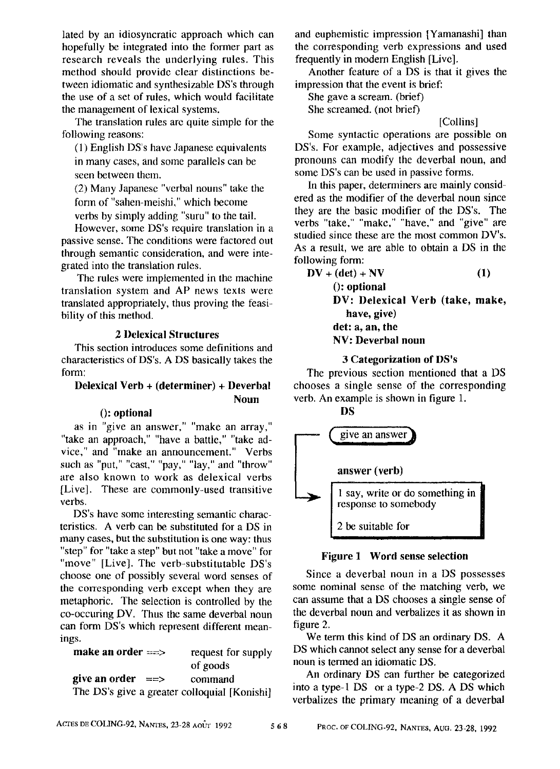lated by an idiosyncratic approach which can hopefully be integrated into the former part as research reveals the underlying rules. This method should provide clear distinctions between idiomatic and synthesizable DS's through the use of a set of rules, which would facilitate the management of lexical systems.

The translation rules are quite simple for the following reasons:

 $(1)$  English DS's have Japanese equivalents in many cases, and some parallels can be seen between them.

(2) Many Japanese "verbal nouns" take the form of "sahen-meishi," which become verbs by simply adding "suru" to the tail.

However, some DS's require translation in a passive sense. The conditions were factored out through semantic consideration, and were integrated into the translation rules.

The rules were implemented in the machine translation system and AP news texts were translated appropriately, thus proving the feasibility of this method.

#### **2 Delexical Structures**

This section introduces some definitions and characteristics of DS's. ADS basically takes the form:

#### **Delexieal Verb** + (determiner) + Deverbal Noun

#### 0: optional

as in "give an answer," "make an array," "take an approach," "have a battle," "take advice," and "make an announcement." Verbs such as "put," "cast," "pay," "lay," and "throw" are also known to work as delexical verbs [Live]. These are commonly-used transitive verbs.

DS's have some interesting semantic characteristics. A verb can be substituted for a DS in many cases, but the substitution is one way: thus "step" for "take a step" but not "take a move" for "move" [Live]. The verb-substitutable DS's choose one of possibly several word senses of the corresponding verb except when they are metaphoric. The selection is controlled by the co-occuring DV. Thus the same deverbal noun can form DS's which represent different meanings.

| make an order $\equiv$ $\Rightarrow$         | request for supply |
|----------------------------------------------|--------------------|
|                                              | of goods           |
| give an order $=$                            | command            |
| The DS's give a greater colloquial [Konishi] |                    |

and euphemistic impression [Yamanashi] than the corresponding verb expressions and used frequently in modern English [Live].

Another feature of a DS is that it gives the impression that the event is brief:

She gave a scream. (brief) She screamed. (not brief)

# [Collins]

Some syntactic operations are possible on DS's. For example, adjectives and possessive pronouns can modify the deverbal noun, and some DS's can be used in passive forms.

In this paper, determiners are mainly considered as the modifier of the deverbal noun since they are the basic modifier of the DS's. The verbs "take," "make," "have," and "give" are studied since these are the most common DV's. As a result, we are able to obtain a DS in the following form:

| $DV + (det) + NV$               | (1) |
|---------------------------------|-----|
| $()$ : optional                 |     |
| DV: Delexical Verb (take, make, |     |
| have, give)                     |     |
| det: a, an, the                 |     |
| NV: Deverbal noun               |     |
|                                 |     |

# 3 Categorization of DS's

The previous section mentioned that a DS chooses a single sense of the corresponding verb. An example is shown in figure 1.



# Figure 1 Word sense selection

Since a deverbal noun in a DS possesses some nominal sense of the matching verb, we can assume that a DS chooses a single sense of the deverbal noun and verbalizes it as shown in figure 2.

We term this kind of DS an ordinary DS. A DS which cannot select any sense for a deverbal noun is termed an idiomatic DS.

An ordinary DS can further be categorized into a type-1 DS or a type-2 DS. ADS which verbalizes the primary meaning of a deverbal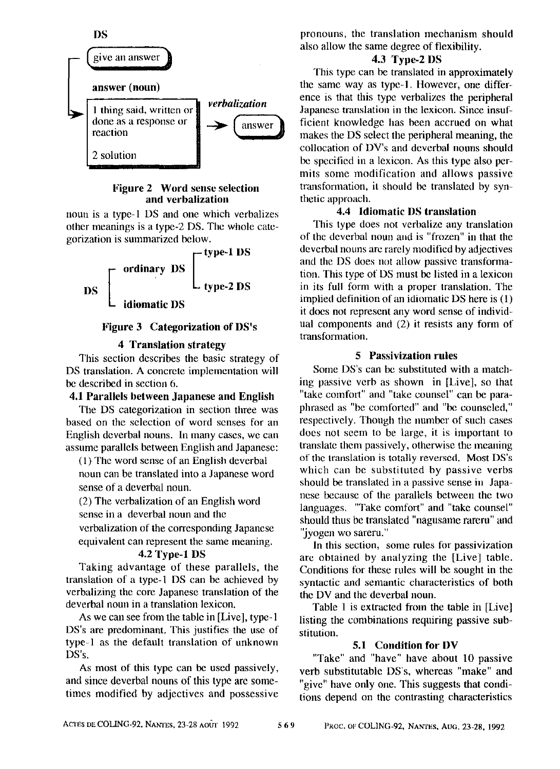

#### **Figure 2 Word sense selection and verbalization**

noun is a type-1 DS and one which verbalizes other meanings is a type-2 DS. The whole categorization is summarized below.



## **Figure 3 Categorization of DS's**

## **4 Translation strategy**

This section describes the basic strategy of DS translation. A concrete implementation will be described in section 6.

#### 4.1 Parallels between **Japanese and** English

The DS categorization in section three was based on the selection of word senses for an English deverbal nouns. In many cases, we can assume parallels between English and Japanese:

(1) The word sense of an English deverbal noun can be translated into a Japanese word sense of a deverbal noun.

(2) The verbalization of an English word sense in a deverbal noun and the verbalization of the corresponding Japanese equivalent can represent the same meaning.

#### 4.2 Type-1 DS

Taking advantage of these parallels, the translation of a type-1 DS can be achieved by verbalizing the core Japanese translation of the deverbal noun in a translation lexicon.

As we can see from the table in [Live], type-I DS's are predominant. This justifies the use of type-1 as the default translation of unknown DS's.

As most of this type can be used passively, and since deverbal nouns of this type are sometimes modified by adjectives and possessive pronouns, the translation mechanism should also allow the same degree of flexibility.

# 4.3 Type-2 DS

This type can be translated in approximately the same way as type-l. However, one difference is that this type verbalizes the peripheral Japanese translation in the lexicon. Since insufficient knowledge has been accrued on what makes the DS select the peripheral meaning, the collocation of DV's and deverbal nouns should be specified in a lexicon. As this type also permits some modification and allows passive transfommtion, it should be translated by synthetic approach.

## 4.4 Idiomatic DS translation

This type does not verbalize any translation of the deverbal noun and is "frozen" in that the deverbal nouns are rarely modified by adjectives and the DS does not allow passive transformation. This type of DS must be listed in a lexicon in its full form with a proper translation. The implied definition of an idiomatic DS here is (1) it does not represent any word sense of individual components and (2) it resists any form of transformation.

#### **5 Passivization** rules

Some DS's can be substituted with a matching passive verb as shown in [Live], so that "take comfort" and "take counsel" can be paraphrased as "be comforted" and "be counseled." respectively. Though the number of such cases does not seem to be large, it is important to translate them passively, otherwise the meaning of the translation is totally reversed. Most DS's which can be substituted by passive verbs should be translated in a passive sense in Japanese because of the parallels between the two languages. "Take comfort" and "take counsel" should thus be translated "nagusame rareru" and "jyogen wo sareru."

In this section, some rules tot passivizafion arc obtained by analyzing the [Live] table. Conditions for these rules will be sought in the syntactic and semantic characteristics of botb the DV and the deverbal noun.

Table 1 is extracted from the table in [Live] listing the combinations requiring passive substitution.

#### **5.1 Condition for DV**

"Take" and "have" have about 10 passive verb substitutable DS's, whereas "make" and "give" have only one. This suggests that conditions depend on the contrasting characteristics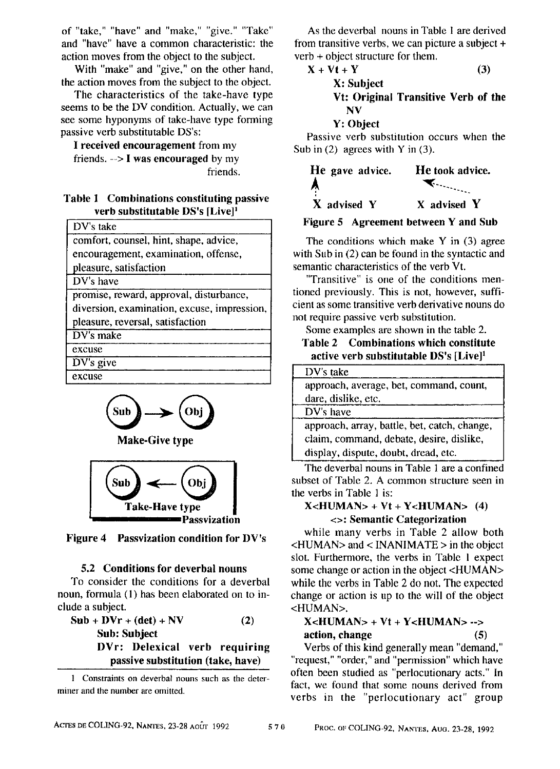of "take," "have" and "make," "give." "Take" and "have" have a common characteristic: the action moves from the object to the subject.

With "make" and "give," on the other hand, the action moves from the subject to the object.

The characteristics of the take-have type seems to be the DV condition. Actually, we can see some hyponyms of take-have type forming passive verb substitutable DS's:

I **received encouragement** from my friends. -~> I **was encouraged** by my fiiends.

## **Table 1 Combinations constituting passive verb substitutable DS's [Live] 1**

| DV's take                                   |
|---------------------------------------------|
| comfort, counsel, hint, shape, advice,      |
| encouragement, examination, offense,        |
| pleasure, satisfaction                      |
| DV's have                                   |
| promise, reward, approval, disturbance,     |
| diversion, examination, excuse, impression, |
| pleasure, reversal, satisfaction            |
| DV's make                                   |
| excuse                                      |
| $DV's$ give                                 |
| excuse                                      |



**Make.Give type** 



Figure 4 **Passvization condition for** DV's

## **5.2 Conditions for deverbal nouns**

To consider the conditions for a deverbal noun, formula (1) has been elaborated on to include a subject.

 $Sub + DVr + (det) + NV$  (2) Sub: **Subject DVr: Delexical verb requiring passive substitution (take, have)** 

1 Constraints on deverbal nouns such as the determiner and the number are omitted.

As the deverbal nouns in Table 1 are derived from transitive verbs, we can picture a subject + verb + object structure for them.

$$
X + Vt + Y \tag{3}
$$

$$
T_{\text{max}}
$$

X: Subject Vt: Original Transitive Verb of **the**  NV

## Y: Object

Passive verb substitution occurs when the Sub in  $(2)$  agrees with Y in  $(3)$ .

| He gave advice. | He took advice. |  |  |
|-----------------|-----------------|--|--|
| A               |                 |  |  |
| X advised Y     | X advised Y     |  |  |

Figure 5 Agreement between Y and Sub

The conditions which make Y in (3) agree with Sub in (2) can be found in the syntactic and semantic characteristics of the verb Vt.

"Transitive" is one of the conditions mentioned previously. This is not, however, sufficient as some transitive verb derivative nouns do not require passive verb substitution.

Some examples are shown in the table 2.

## **Table 2 Combinations which constitute**  active verb substitutable DS's [Live]<sup>1</sup>

| DV's take                                    |
|----------------------------------------------|
| approach, average, bet, command, count,      |
| dare, dislike, etc.                          |
| DV's have                                    |
| approach, array, battle, bet, catch, change, |
| claim, command, debate, desire, dislike,     |
| display, dispute, doubt, dread, etc.         |

The deverbal nouns in Table 1 are a confined subset of Table 2. A common structure seen in the verbs in Table 1 is:

## $X < HUMAN > + Vt + Y < HUMAN > (4)$ <>: Semantic **Categorization**

while many verbs in Table 2 allow both <HUMAN> and < INANIMATE > in the object slot. Furthermore, the verbs in Table 1 expect some change or action in the object <HUMAN> while the verbs in Table 2 do not. The expected change or action is up to the will of the object <HUMAN>.

# X<HUMAN> + Vt + Y<HUMAN> --> **action, change (5)**

Verbs of this kind generally mean "demand," "request," "order," and "permission" which have often been studied as "perlocutionary acts." In fact, we found that some nouns derived from verbs in the "perlocutionary act" group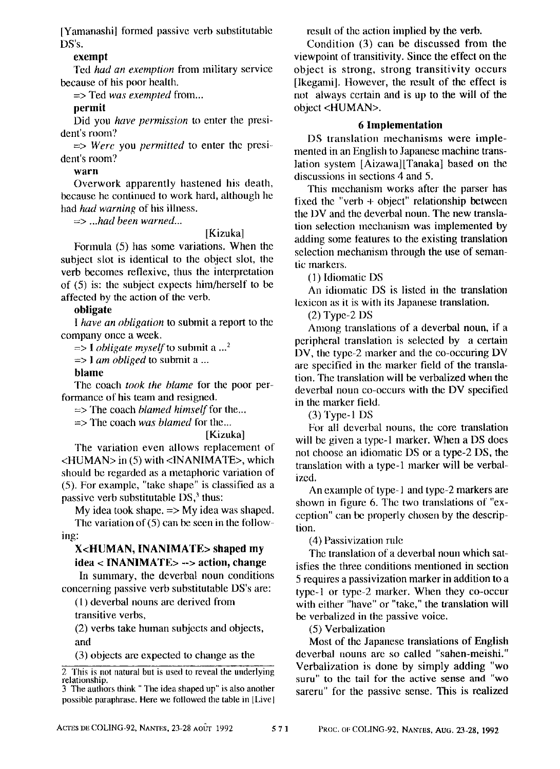[Yamanashi] formed passive verb substitutable DS's.

#### exempt

Ted *had an exemption* from military service because of his poor health.

=> Ted *was exempted* from...

## permit

Did you *have permission* to enter the president's room?

 $\Rightarrow$  *Were* you *permitted* to enter the president's room?

### warn

Overwork apparently hastened his death, because he continued to work hard, although he had *had warning* of his illness.

=> *...had been warned...* 

### [Kizuka]

Formula (5) has some variations. When the subject slot is identical to the object slot, the verb becomes reflexive, thus the interpretation of (5) is: the subject expects him/herself to be affected by the action of the verb.

## **obligate**

*I have an obligation* to submit a report to the company once a week.

 $\Rightarrow$  I *obligate myself* to submit a ...<sup>2</sup>

*=> I am obliged* to submit a ...

## **blame**

The coach *took the blame* for the poor performance of his team and resigned.

=> The coacb *blamed himself* for the...

=> The coach *was blamed* lor the...

[Kizuka]

The variation even allows replacement of <HUMAN> in (5) with <INANIMATE>, which should be regarded as a metaphoric variation of (5). For example, "take shape" is classified as a passive verb substitutable DS,<sup>3</sup> thus:

My idea took shape.  $\Rightarrow$  My idea was shaped. The variation of  $(5)$  can be seen in the following:

# X<HUMAN, INANIMATE> shaped my **idea** < INANIMATE> --> action, change

In summary, the deverbal noun conditions concerning passive verb substitutable DS's are:

(1) deverbal nouns are derived from transitive verbs,

(2) verbs take human subjects and objects, and

(3) objects are expected to cbange as the

result of the action implied by the verb.

Condition (3) can be discussed from the viewpoint of transitivity. Since the effect on the object is strong, strong transitivity occurs [Ikegami]. However, the result of the effect is not always certain and is up to the will of the object <HUMAN>.

## **6 Implementation**

DS translation mechanisms were implemented in an English to Japanese machine translation system [Aizawa][Tanaka] based on the discussions in sections 4 and 5.

This mechanism works after the parser has fixed the "verb + object" relationship between the I)V and the deverbal noun. The new translation selection mechanism was implemented by adding some features to the existing translation selection mechanism through the use of semantic markers.

(1) Idiomatic DS

An idiomatic DS is listed in the translation lexicon as it is with its Japanese translation.

(2) Type-2 DS

Among translations of a deverbal noun, if a peripheral translation is selected by a certain DV, the type-2 marker and the co-occuring DV are specified in the marker field of the translation. Tbe translation will be verbalized when the deverbal noun co-occurs with the DV specified in the marker field.

(3) Type- 1 DS

For all deverbal nouns, the core translation will be given a type-1 marker. When a DS does not choose an idiomatic DS or a type-2 DS, the translation with a type-1 marker will be verbalized.

An example of type-1 and type-2 markers are shown in figure 6. The two translations of "exception" can be properly chosen by the description.

(4) Passivization nile

The translation of a deverbal noun which satisfies the three conditions mentioned in section 5 requires a passivization marker in addition to a type-I or type-2 marker. When they co-occur with either "have" or "take," the translation will be verbalized in the passive voice.

(5) Verbalization

Most of the Japanese translations of English deverbal nouns are so called "sahen-meishi." Verbalization is done by simply adding "wo suru" to the tail for the active sense and "wo sareru" for the passive sense. This is realized

 $\overline{2}$  This is not natural but is used to reveal the underlying relationship.

<sup>3</sup> The authors think "The idea shaped up" is also another possible paraphrase. Here we followed the table in [Livel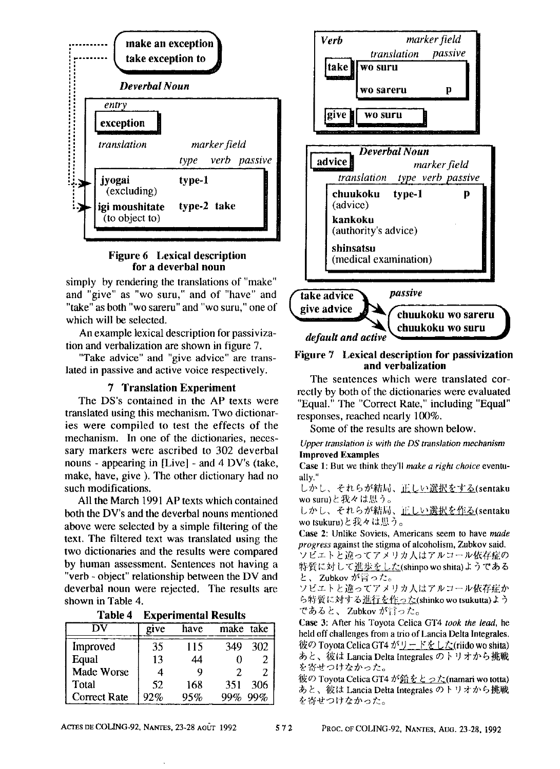



simply by rendering the translations of "make" and "give" as "wo suru," and of "have" and "take" as both "wo sareru" and "wo suru," one of which will be selected.

An example lexical description for passivization and verbalization are shown in figure 7.

"Take advice" and "give advice" are translated in passive and active voice respectively.

#### 7 **Translation Experiment**

The DS's contained in the AP texts were translated using this mechanism. Two dictionaries were compiled to test the effects of the mechanism. In one of the dictionaries, necessary markers were ascribed to 302 deverbal nouns - appearing in [Live] - and 4 DV's (take, make, have, give ). The other dictionary had no such modifications.

All the March 1991 AP texts which contained both the DV's and the deverbal nouns mentioned above were selected by a simple filtering of the text. The filtered text was translated using the two dictionaries and the results were compared by human assessment. Sentences not having a "verb - object" relationship between the DV and deverbal noun were rejected. The results are shown in Table 4.

| Table 4<br><b>Experimental Results</b> |  |
|----------------------------------------|--|
|----------------------------------------|--|

|                     | give | have | make take  |  |
|---------------------|------|------|------------|--|
| Improved            | 35   | 115  | 302<br>349 |  |
| Equal               | 13   | 44   |            |  |
| Made Worse          |      |      |            |  |
| Total               | 52   | 168  | 306<br>351 |  |
| <b>Correct Rate</b> | 92%  | 95%  | 99%<br>99% |  |



#### Figure 7 **Lexical description for passivization and verbalization**

The sentences which were translated correctly by both of the dictionaries were evaluated "Equal." The "Correct Rate," including "Equal" responses, reached nearly 100%.

Some of the results are shown below.

*Upper translation is with the DS translation mechanism* **Improved Examples** 

Case 1: But we think they'll *make a right choice* eventually."

しかし、それらが結局、<u>正しい選択をする(</u>sentaku<br>wo suru)と我々は思う。

しかし、それらが結局、正しい選択を作る(sentaku wo tsukuru)と我々は思う。

Case 2: Unlike Soviets, Americans seem to have *made progress* against the stigma of alcoholism, Zubkov said. .<br>ソビエトと違ってアメリカ人はアルコール依存症の 特質に対して進歩をした(shinpo wo shita)ようである

と、Zubkov が言った。<br>ソビエトと違ってアメリカ人はアルコール依存症か ら特質に対する進行を作った(shinko wo tsukutta)よう であると、 Zubkov が言った。

Case 3: After his Toyota Celica GT4 *took the lead,* he held off challenges from a trio of Lancia Delta lntegrales. 彼の Toyota Celica GT4 がリードをした(riido wo shita) あと、彼は Lancia Delta Integrales のトリオから挑戦<br>を寄せつけなかった。

彼の Toyota Celica GT4 が鉛をとった(namari wo totta) あと、彼は Lancia Delta Integrales のトリオから挑戦 を寄せつけなかった。